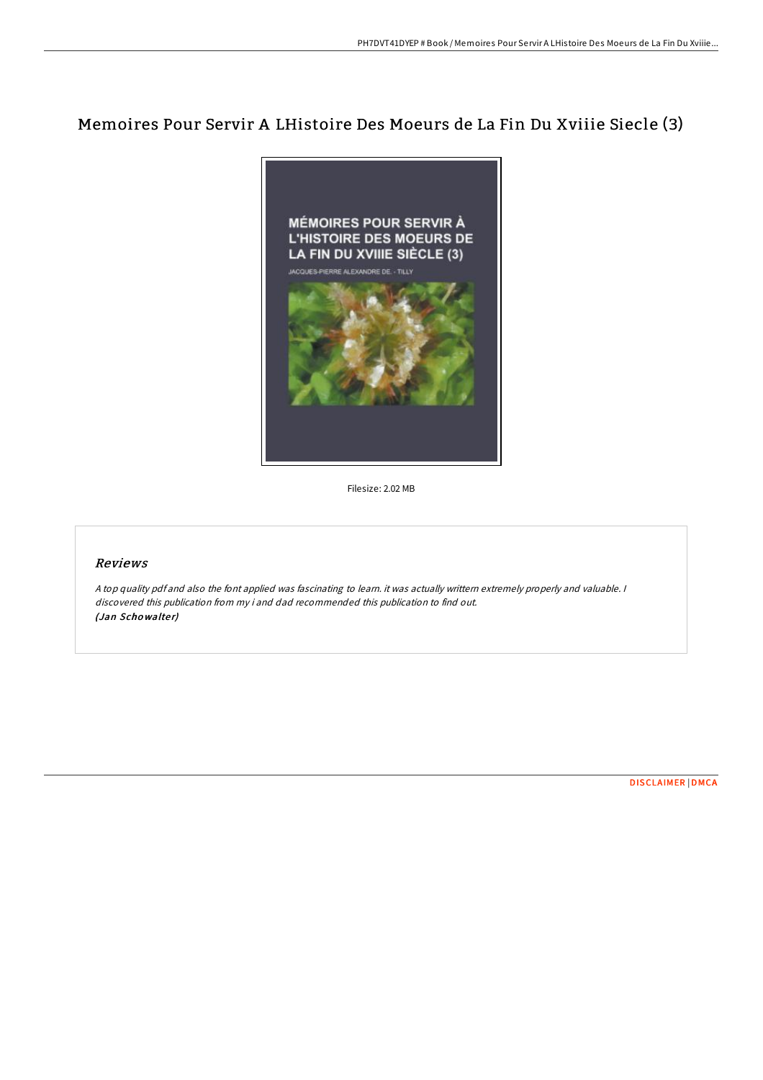## Memoires Pour Servir A LHistoire Des Moeurs de La Fin Du Xviiie Siecle (3)



Filesize: 2.02 MB

## Reviews

<sup>A</sup> top quality pdf and also the font applied was fascinating to learn. it was actually writtern extremely properly and valuable. <sup>I</sup> discovered this publication from my i and dad recommended this publication to find out. (Jan Schowalter)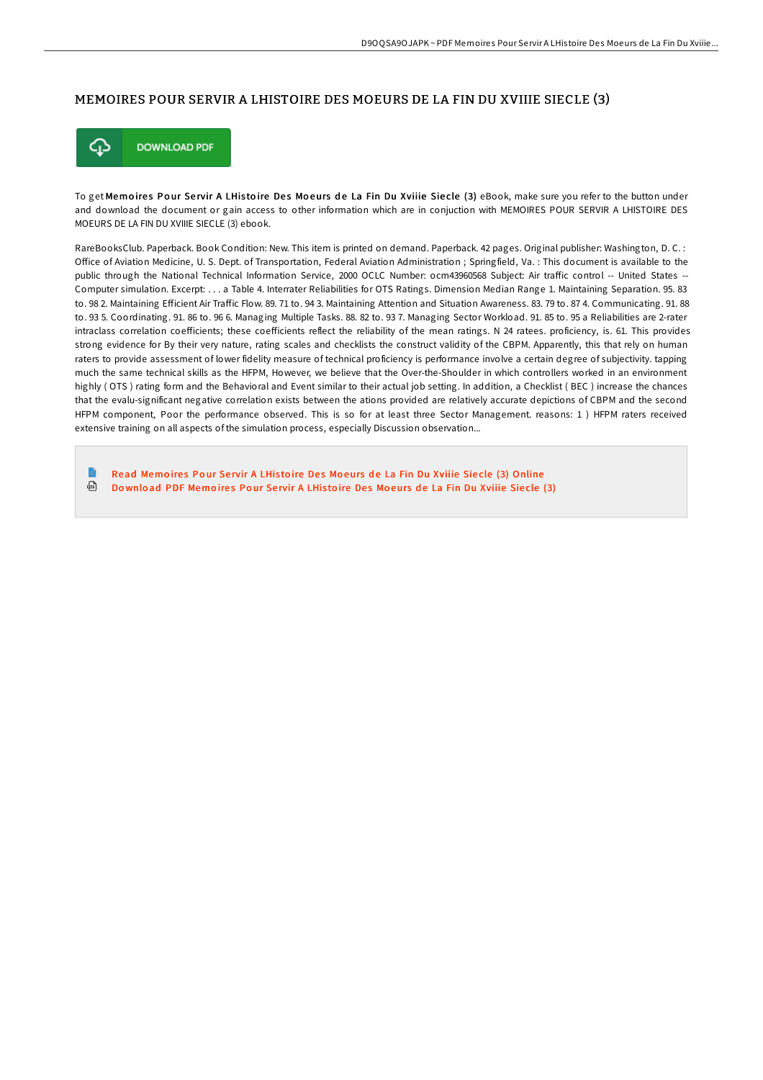## MEMOIRES POUR SERVIR A LHISTOIRE DES MOEURS DE LA FIN DU XVIIIE SIECLE (3)



To get Memoires Pour Servir A LHistoire Des Moeurs de La Fin Du Xviiie Siecle (3) eBook, make sure you refer to the button under and download the document or gain access to other information which are in conjuction with MEMOIRES POUR SERVIR A LHISTOIRE DES MOEURS DE LA FIN DU XVIIIE SIECLE (3) ebook.

RareBooksClub. Paperback. Book Condition: New. This item is printed on demand. Paperback. 42 pages. Original publisher: Washington, D. C. : Office of Aviation Medicine, U. S. Dept. of Transportation, Federal Aviation Administration ; Springfield, Va. : This document is available to the public through the National Technical Information Service, 2000 OCLC Number: ocm43960568 Subject: Air traffic control -- United States --Computer simulation. Excerpt: . . . a Table 4. Interrater Reliabilities for OTS Ratings. Dimension Median Range 1. Maintaining Separation. 95. 83 to. 98 2. Maintaining Efficient Air Traffic Flow. 89. 71 to. 94 3. Maintaining Attention and Situation Awareness. 83. 79 to. 87 4. Communicating. 91. 88 to. 93 5. Coordinating. 91. 86 to. 96 6. Managing Multiple Tasks. 88. 82 to. 93 7. Managing Sector Workload. 91. 85 to. 95 a Reliabilities are 2-rater intraclass correlation coefficients; these coefficients reflect the reliability of the mean ratings. N 24 ratees. proficiency, is. 61. This provides strong evidence for By their very nature, rating scales and checklists the construct validity of the CBPM. Apparently, this that rely on human raters to provide assessment of lower fidelity measure of technical proficiency is performance involve a certain degree of subjectivity. tapping much the same technical skills as the HFPM, However, we believe that the Over-the-Shoulder in which controllers worked in an environment highly ( OTS ) rating form and the Behavioral and Event similar to their actual job setting. In addition, a Checklist ( BEC ) increase the chances that the evalu-significant negative correlation exists between the ations provided are relatively accurate depictions of CBPM and the second HFPM component, Poor the performance observed. This is so for at least three Sector Management. reasons: 1 ) HFPM raters received extensive training on all aspects of the simulation process, especially Discussion observation...

Read Memoires Pour Servir A LHistoire Des Moeurs de La Fin Du Xviiie Siecle (3) [Online](http://almighty24.tech/memoires-pour-servir-a-lhistoire-des-moeurs-de-l.html) 同 Download PDF [Memo](http://almighty24.tech/memoires-pour-servir-a-lhistoire-des-moeurs-de-l.html)ires Pour Servir A LHistoire Des Moeurs de La Fin Du Xviiie Siecle (3)